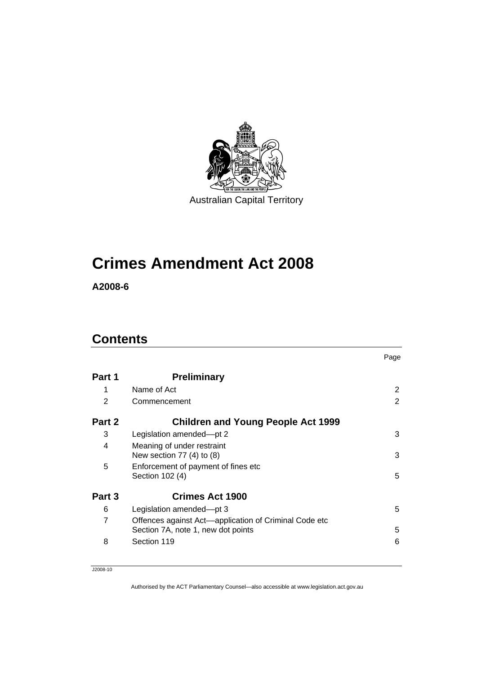

# **[Crimes Amendment Act 2008](#page-2-0)**

**A2008-6** 

# **Contents**

|        |                                                       | Page           |
|--------|-------------------------------------------------------|----------------|
| Part 1 | <b>Preliminary</b>                                    |                |
| 1      | Name of Act                                           | $\overline{2}$ |
| 2      | Commencement                                          | 2              |
| Part 2 | <b>Children and Young People Act 1999</b>             |                |
| 3      | Legislation amended-pt 2                              | 3              |
| 4      | Meaning of under restraint                            |                |
|        | New section 77 (4) to (8)                             | 3              |
| 5      | Enforcement of payment of fines etc                   |                |
|        | Section 102 (4)                                       | 5              |
| Part 3 | <b>Crimes Act 1900</b>                                |                |
| 6      | Legislation amended-pt 3                              | 5              |
| 7      | Offences against Act—application of Criminal Code etc |                |
|        | Section 7A, note 1, new dot points                    | 5              |
| 8      | Section 119                                           | 6              |

J2008-10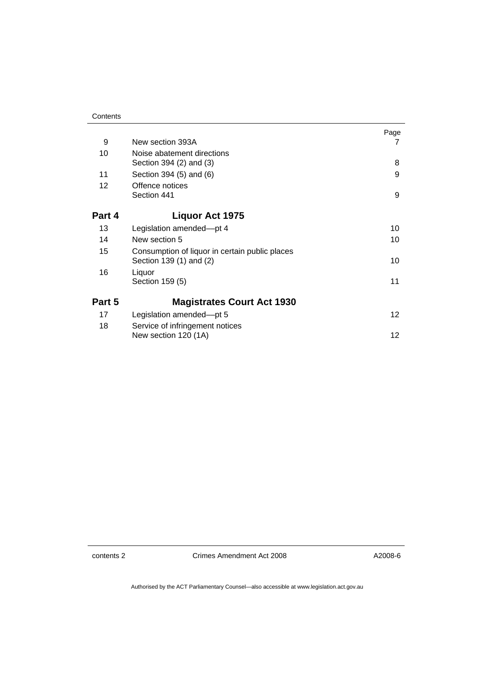| 9      | New section 393A                                                          | Page<br>7 |
|--------|---------------------------------------------------------------------------|-----------|
| 10     | Noise abatement directions                                                |           |
|        | Section 394 (2) and (3)                                                   | 8         |
| 11     | Section 394 (5) and (6)                                                   | 9         |
| 12     | Offence notices                                                           |           |
|        | Section 441                                                               | 9         |
| Part 4 | <b>Liquor Act 1975</b>                                                    |           |
| 13     | Legislation amended-pt 4                                                  | 10        |
| 14     | New section 5                                                             | 10        |
| 15     | Consumption of liquor in certain public places<br>Section 139 (1) and (2) | 10        |
| 16     | Liquor<br>Section 159 (5)                                                 | 11        |
| Part 5 | <b>Magistrates Court Act 1930</b>                                         |           |
| 17     | Legislation amended-pt 5                                                  | 12        |
| 18     | Service of infringement notices<br>New section 120 (1A)                   | 12        |

contents 2 Crimes Amendment Act 2008

A2008-6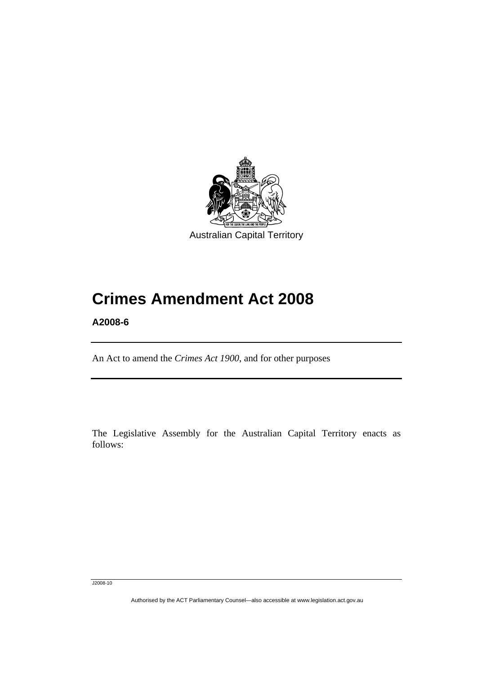<span id="page-2-0"></span>

# **Crimes Amendment Act 2008**

**A2008-6** 

l

An Act to amend the *Crimes Act 1900*, and for other purposes

The Legislative Assembly for the Australian Capital Territory enacts as follows:

J2008-10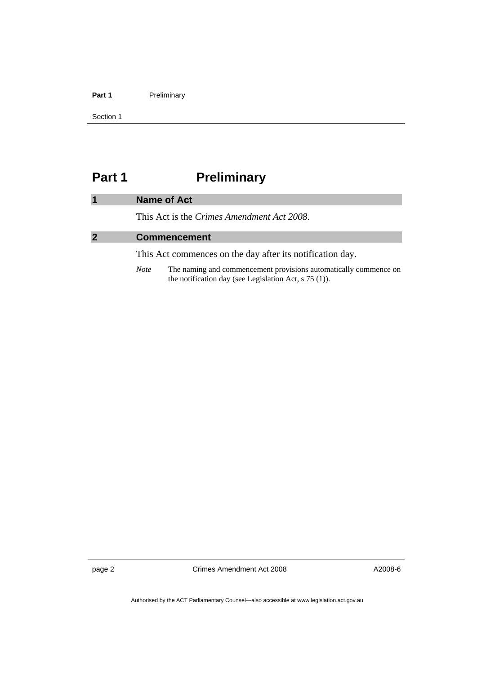#### <span id="page-3-0"></span>Part 1 **Preliminary**

Section 1

# **Part 1** Preliminary

|              | Name of Act                                        |
|--------------|----------------------------------------------------|
|              | This Act is the <i>Crimes Amendment Act 2008</i> . |
| $\mathbf{2}$ | <b>Commencement</b>                                |
|              |                                                    |

This Act commences on the day after its notification day.

*Note* The naming and commencement provisions automatically commence on the notification day (see Legislation Act, s 75 (1)).

page 2 Crimes Amendment Act 2008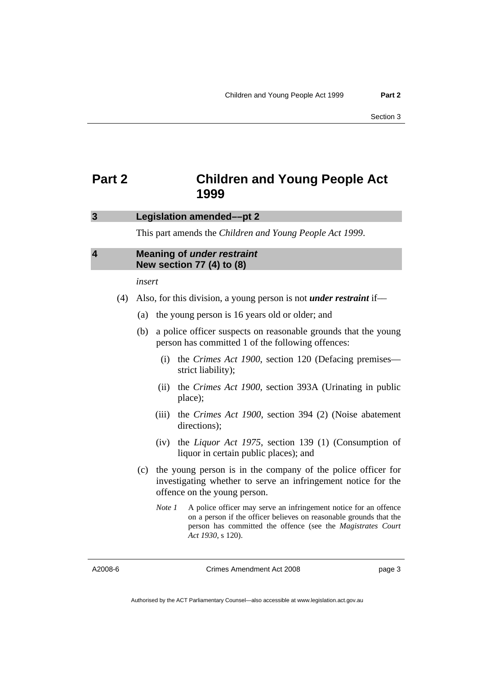# <span id="page-4-0"></span>**Part 2 Children and Young People Act 1999**

#### **3 Legislation amended––pt 2**

This part amends the *Children and Young People Act 1999*.

### **4 Meaning of** *under restraint* **New section 77 (4) to (8)**

*insert* 

- (4) Also, for this division, a young person is not *under restraint* if––
	- (a) the young person is 16 years old or older; and
	- (b) a police officer suspects on reasonable grounds that the young person has committed 1 of the following offences:
		- (i) the *Crimes Act 1900*, section 120 (Defacing premises–– strict liability);
		- (ii) the *Crimes Act 1900*, section 393A (Urinating in public place);
		- (iii) the *Crimes Act 1900*, section 394 (2) (Noise abatement directions);
		- (iv) the *Liquor Act 1975*, section 139 (1) (Consumption of liquor in certain public places); and
	- (c) the young person is in the company of the police officer for investigating whether to serve an infringement notice for the offence on the young person.
		- *Note 1* A police officer may serve an infringement notice for an offence on a person if the officer believes on reasonable grounds that the person has committed the offence (see the *Magistrates Court Act 1930*, s 120).

A2008-6

Crimes Amendment Act 2008

page 3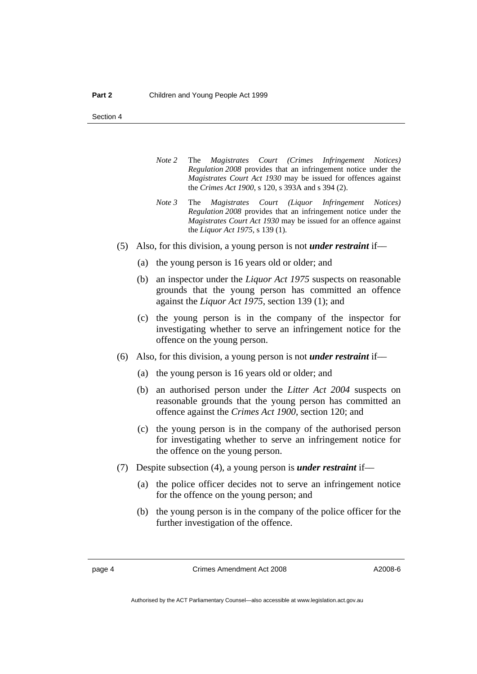Section 4

- *Note 2* The *Magistrates Court (Crimes Infringement Notices) Regulation 2008* provides that an infringement notice under the *Magistrates Court Act 1930* may be issued for offences against the *Crimes Act 1900*, s 120, s 393A and s 394 (2).
- *Note 3* The *Magistrates Court (Liquor Infringement Notices) Regulation 2008* provides that an infringement notice under the *Magistrates Court Act 1930* may be issued for an offence against the *Liquor Act 1975*, s 139 (1).
- (5) Also, for this division, a young person is not *under restraint* if––
	- (a) the young person is 16 years old or older; and
	- (b) an inspector under the *Liquor Act 1975* suspects on reasonable grounds that the young person has committed an offence against the *Liquor Act 1975*, section 139 (1); and
	- (c) the young person is in the company of the inspector for investigating whether to serve an infringement notice for the offence on the young person.
- (6) Also, for this division, a young person is not *under restraint* if––
	- (a) the young person is 16 years old or older; and
	- (b) an authorised person under the *Litter Act 2004* suspects on reasonable grounds that the young person has committed an offence against the *Crimes Act 1900*, section 120; and
	- (c) the young person is in the company of the authorised person for investigating whether to serve an infringement notice for the offence on the young person.
- (7) Despite subsection (4), a young person is *under restraint* if––
	- (a) the police officer decides not to serve an infringement notice for the offence on the young person; and
	- (b) the young person is in the company of the police officer for the further investigation of the offence.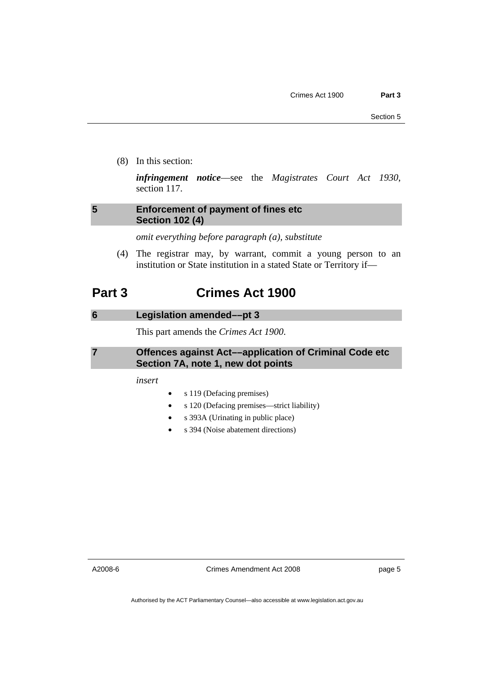<span id="page-6-0"></span>(8) In this section:

*infringement notice*––see the *Magistrates Court Act 1930*, section 117.

## **5 Enforcement of payment of fines etc Section 102 (4)**

*omit everything before paragraph (a), substitute* 

 (4) The registrar may, by warrant, commit a young person to an institution or State institution in a stated State or Territory if—

# **Part 3 Crimes Act 1900**

#### **6 Legislation amended––pt 3**

This part amends the *Crimes Act 1900*.

### **7 Offences against Act––application of Criminal Code etc Section 7A, note 1, new dot points**

*insert* 

- s 119 (Defacing premises)
- s 120 (Defacing premises—strict liability)
- s 393A (Urinating in public place)
- s 394 (Noise abatement directions)

A2008-6

Crimes Amendment Act 2008

page 5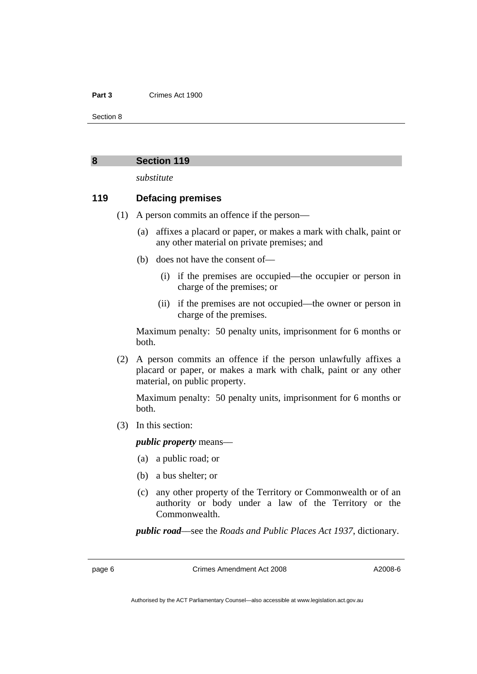#### <span id="page-7-0"></span>**Part 3** Crimes Act 1900

Section 8

#### **8 Section 119**

*substitute* 

#### **119 Defacing premises**

- (1) A person commits an offence if the person––
	- (a) affixes a placard or paper, or makes a mark with chalk, paint or any other material on private premises; and
	- (b) does not have the consent of—
		- (i) if the premises are occupied––the occupier or person in charge of the premises; or
		- (ii) if the premises are not occupied––the owner or person in charge of the premises.

Maximum penalty: 50 penalty units, imprisonment for 6 months or both.

 (2) A person commits an offence if the person unlawfully affixes a placard or paper, or makes a mark with chalk, paint or any other material, on public property.

Maximum penalty: 50 penalty units, imprisonment for 6 months or both.

(3) In this section:

*public property* means––

- (a) a public road; or
- (b) a bus shelter; or
- (c) any other property of the Territory or Commonwealth or of an authority or body under a law of the Territory or the Commonwealth.

*public road*––see the *Roads and Public Places Act 1937*, dictionary.

page 6 Crimes Amendment Act 2008

Authorised by the ACT Parliamentary Counsel—also accessible at www.legislation.act.gov.au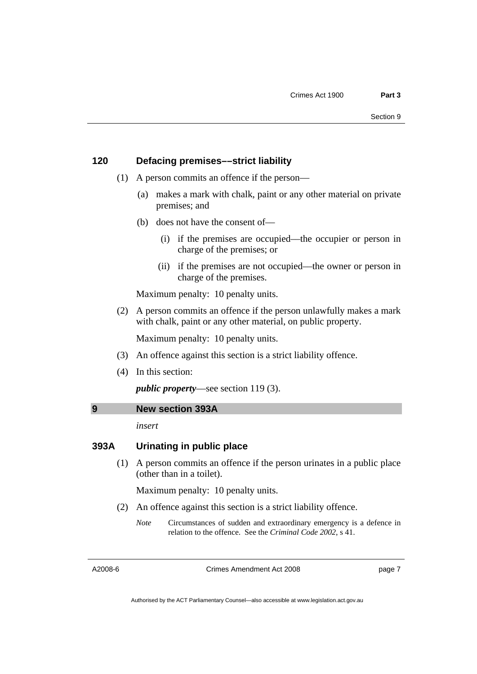### <span id="page-8-0"></span>**120 Defacing premises––strict liability**

- (1) A person commits an offence if the person––
	- (a) makes a mark with chalk, paint or any other material on private premises; and
	- (b) does not have the consent of—
		- (i) if the premises are occupied––the occupier or person in charge of the premises; or
		- (ii) if the premises are not occupied––the owner or person in charge of the premises.

Maximum penalty: 10 penalty units.

 (2) A person commits an offence if the person unlawfully makes a mark with chalk, paint or any other material, on public property.

Maximum penalty: 10 penalty units.

- (3) An offence against this section is a strict liability offence.
- (4) In this section:

*public property*––see section 119 (3).

### **9 New section 393A**

*insert* 

## **393A Urinating in public place**

 (1) A person commits an offence if the person urinates in a public place (other than in a toilet).

Maximum penalty: 10 penalty units.

- (2) An offence against this section is a strict liability offence.
	- *Note* Circumstances of sudden and extraordinary emergency is a defence in relation to the offence. See the *Criminal Code 2002*, s 41.

A2008-6

Crimes Amendment Act 2008

page 7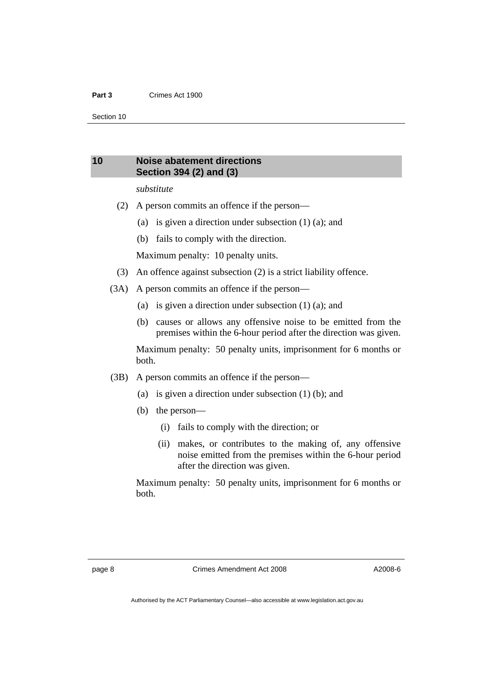#### <span id="page-9-0"></span>**Part 3** Crimes Act 1900

Section 10

### **10 Noise abatement directions Section 394 (2) and (3)**

#### *substitute*

- (2) A person commits an offence if the person––
	- (a) is given a direction under subsection (1) (a); and
	- (b) fails to comply with the direction.

Maximum penalty: 10 penalty units.

- (3) An offence against subsection (2) is a strict liability offence.
- (3A) A person commits an offence if the person––
	- (a) is given a direction under subsection (1) (a); and
	- (b) causes or allows any offensive noise to be emitted from the premises within the 6-hour period after the direction was given.

Maximum penalty: 50 penalty units, imprisonment for 6 months or both.

- (3B) A person commits an offence if the person––
	- (a) is given a direction under subsection (1) (b); and
	- (b) the person—
		- (i) fails to comply with the direction; or
		- (ii) makes, or contributes to the making of, any offensive noise emitted from the premises within the 6-hour period after the direction was given.

Maximum penalty: 50 penalty units, imprisonment for 6 months or both.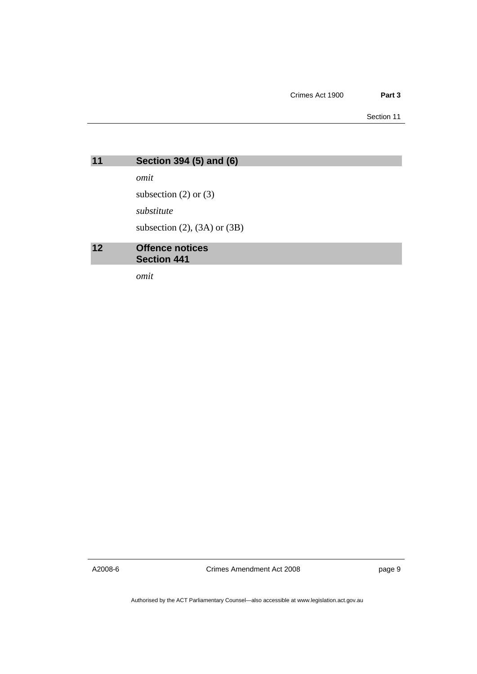Section 11

<span id="page-10-0"></span>

| 11 | Section 394 (5) and (6) |  |  |
|----|-------------------------|--|--|
|    |                         |  |  |
|    |                         |  |  |

*omit* 

subsection  $(2)$  or  $(3)$ 

*substitute* 

subsection  $(2)$ ,  $(3A)$  or  $(3B)$ 

#### **12 Offence notices Section 441**

*omit* 

A2008-6

Crimes Amendment Act 2008

page 9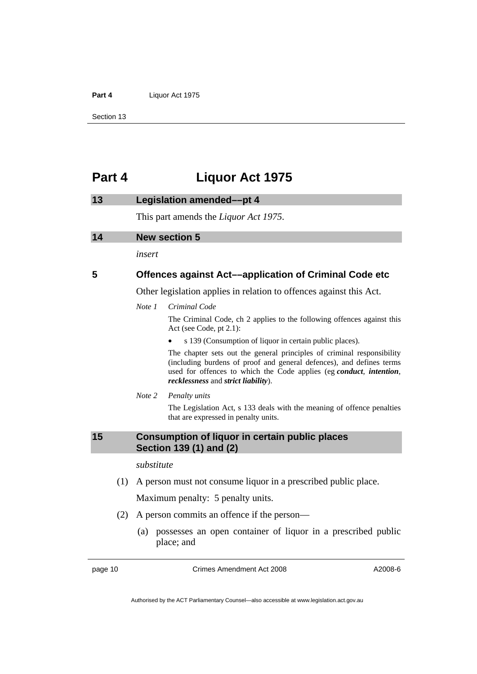### <span id="page-11-0"></span>Part 4 **Liquor Act 1975**

Section 13

# **Part 4 Liquor Act 1975**

| 13 |     | <b>Legislation amended-pt 4</b>                                     |                                                                                                                                                                                                                                                              |  |
|----|-----|---------------------------------------------------------------------|--------------------------------------------------------------------------------------------------------------------------------------------------------------------------------------------------------------------------------------------------------------|--|
|    |     | This part amends the <i>Liquor Act 1975</i> .                       |                                                                                                                                                                                                                                                              |  |
| 14 |     | <b>New section 5</b>                                                |                                                                                                                                                                                                                                                              |  |
|    |     | insert                                                              |                                                                                                                                                                                                                                                              |  |
| 5  |     |                                                                     | <b>Offences against Act—application of Criminal Code etc</b>                                                                                                                                                                                                 |  |
|    |     | Other legislation applies in relation to offences against this Act. |                                                                                                                                                                                                                                                              |  |
|    |     | Note 1                                                              | Criminal Code                                                                                                                                                                                                                                                |  |
|    |     |                                                                     | The Criminal Code, ch 2 applies to the following offences against this<br>Act (see Code, pt 2.1):                                                                                                                                                            |  |
|    |     |                                                                     | s 139 (Consumption of liquor in certain public places).                                                                                                                                                                                                      |  |
|    |     |                                                                     | The chapter sets out the general principles of criminal responsibility<br>(including burdens of proof and general defences), and defines terms<br>used for offences to which the Code applies (eg conduct, intention,<br>recklessness and strict liability). |  |
|    |     | Note 2                                                              | Penalty units                                                                                                                                                                                                                                                |  |
|    |     |                                                                     | The Legislation Act, s 133 deals with the meaning of offence penalties<br>that are expressed in penalty units.                                                                                                                                               |  |
| 15 |     |                                                                     | <b>Consumption of liquor in certain public places</b><br>Section 139 (1) and (2)                                                                                                                                                                             |  |
|    |     | substitute                                                          |                                                                                                                                                                                                                                                              |  |
|    | (1) |                                                                     | A person must not consume liquor in a prescribed public place.                                                                                                                                                                                               |  |
|    |     |                                                                     | Maximum penalty: 5 penalty units.                                                                                                                                                                                                                            |  |
|    | (2) |                                                                     | A person commits an offence if the person—                                                                                                                                                                                                                   |  |
|    |     | (a)                                                                 | possesses an open container of liquor in a prescribed public<br>place; and                                                                                                                                                                                   |  |

page 10 Crimes Amendment Act 2008

A2008-6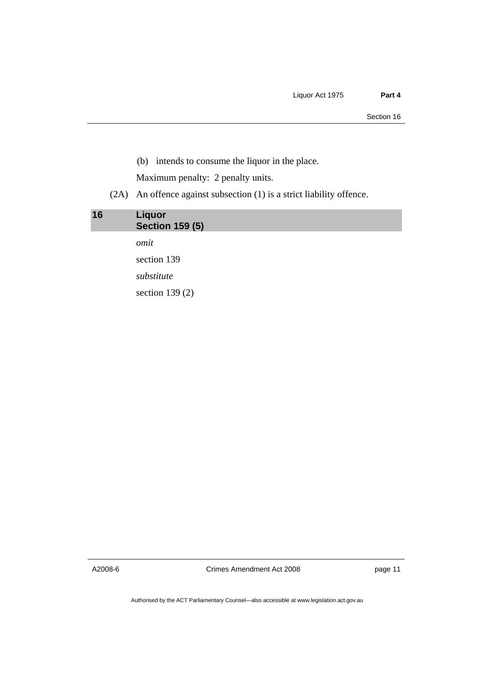<span id="page-12-0"></span>(b) intends to consume the liquor in the place.

Maximum penalty: 2 penalty units.

(2A) An offence against subsection (1) is a strict liability offence.

| 16 | <b>Liquor</b><br><b>Section 159 (5)</b> |  |
|----|-----------------------------------------|--|
|    | omit                                    |  |
|    | section 139                             |  |
|    | substitute                              |  |
|    | section $139(2)$                        |  |

A2008-6

Crimes Amendment Act 2008

page 11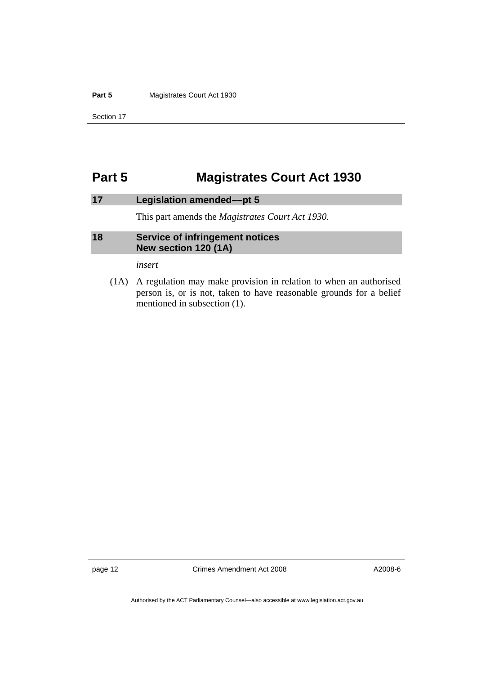#### <span id="page-13-0"></span>**Part 5 Magistrates Court Act 1930**

Section 17

# **Part 5 Magistrates Court Act 1930**

## **17 Legislation amended––pt 5**

This part amends the *Magistrates Court Act 1930*.

### **18 Service of infringement notices New section 120 (1A)**

*insert* 

 (1A) A regulation may make provision in relation to when an authorised person is, or is not, taken to have reasonable grounds for a belief mentioned in subsection (1).

page 12 Crimes Amendment Act 2008